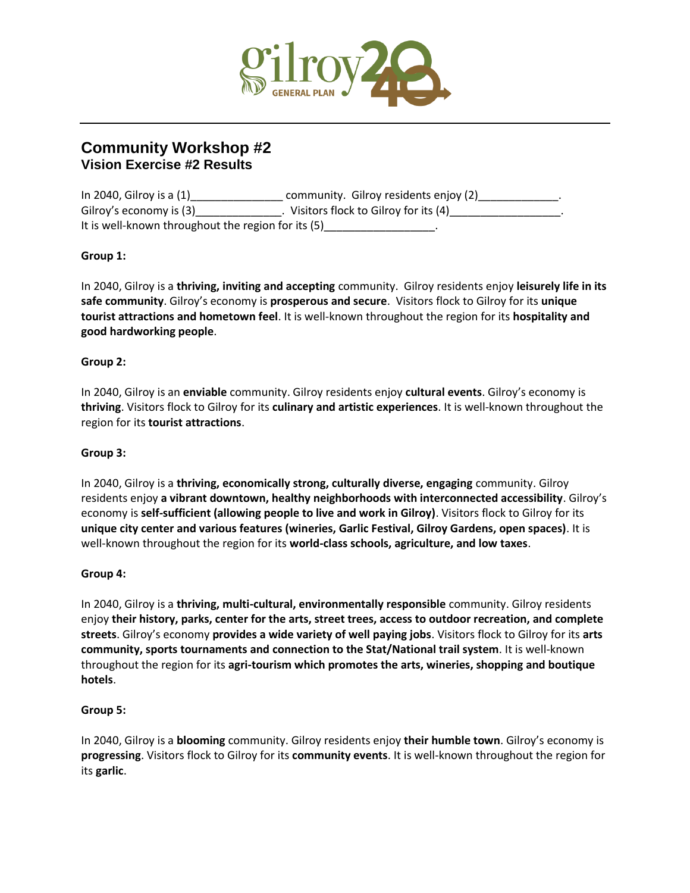

# **Community Workshop #2 Vision Exercise #2 Results**

| In 2040, Gilroy is a $(1)$                         | community. Gilroy residents enjoy (2) |
|----------------------------------------------------|---------------------------------------|
| Gilroy's economy is (3)                            | Visitors flock to Gilroy for its (4)  |
| It is well-known throughout the region for its (5) |                                       |

# **Group 1:**

In 2040, Gilroy is a **thriving, inviting and accepting** community. Gilroy residents enjoy **leisurely life in its safe community**. Gilroy's economy is **prosperous and secure**. Visitors flock to Gilroy for its **unique tourist attractions and hometown feel**. It is well-known throughout the region for its **hospitality and good hardworking people**.

#### **Group 2:**

In 2040, Gilroy is an **enviable** community. Gilroy residents enjoy **cultural events**. Gilroy's economy is **thriving**. Visitors flock to Gilroy for its **culinary and artistic experiences**. It is well-known throughout the region for its **tourist attractions**.

#### **Group 3:**

In 2040, Gilroy is a **thriving, economically strong, culturally diverse, engaging** community. Gilroy residents enjoy **a vibrant downtown, healthy neighborhoods with interconnected accessibility**. Gilroy's economy is **self-sufficient (allowing people to live and work in Gilroy)**. Visitors flock to Gilroy for its **unique city center and various features (wineries, Garlic Festival, Gilroy Gardens, open spaces)**. It is well-known throughout the region for its **world-class schools, agriculture, and low taxes**.

## **Group 4:**

In 2040, Gilroy is a **thriving, multi-cultural, environmentally responsible** community. Gilroy residents enjoy **their history, parks, center for the arts, street trees, access to outdoor recreation, and complete streets**. Gilroy's economy **provides a wide variety of well paying jobs**. Visitors flock to Gilroy for its **arts community, sports tournaments and connection to the Stat/National trail system**. It is well-known throughout the region for its **agri-tourism which promotes the arts, wineries, shopping and boutique hotels**.

#### **Group 5:**

In 2040, Gilroy is a **blooming** community. Gilroy residents enjoy **their humble town**. Gilroy's economy is **progressing**. Visitors flock to Gilroy for its **community events**. It is well-known throughout the region for its **garlic**.